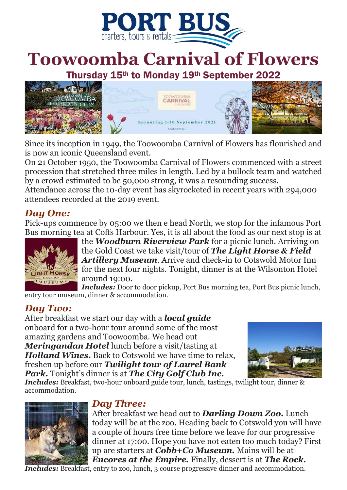

# **Toowoomba Carnival of Flowers**

Thursday 15th to Monday 19th September 2022



Since its inception in 1949, the Toowoomba Carnival of Flowers has flourished and is now an iconic Queensland event.

On 21 October 1950, the Toowoomba Carnival of Flowers commenced with a street procession that stretched three miles in length. Led by a bullock team and watched by a crowd estimated to be 50,000 strong, it was a resounding success.

Attendance across the 10-day event has skyrocketed in recent years with 294,000 attendees recorded at the 2019 event.

#### *Day One:*

Pick-ups commence by 05:00 we then e head North, we stop for the infamous Port Bus morning tea at Coffs Harbour. Yes, it is all about the food as our next stop is at



the *Woodburn Riverview Park* for a picnic lunch. Arriving on the Gold Coast we take visit/tour of *The Light Horse & Field Artillery Museum*. Arrive and check-in to Cotswold Motor Inn for the next four nights. Tonight, dinner is at the Wilsonton Hotel around 19:00.

*Includes:* Door to door pickup, Port Bus morning tea, Port Bus picnic lunch, entry tour museum, dinner & accommodation.

#### *Day Two:*

After breakfast we start our day with a *local guide*  onboard for a two-hour tour around some of the most amazing gardens and Toowoomba. We head out *Meringandan Hotel* lunch before a visit/tasting at *Holland Wines.* Back to Cotswold we have time to relax, freshen up before our *Twilight tour of Laurel Bank Park.* Tonight's dinner is at *The City Golf Club Inc.*



*Includes:* Breakfast, two-hour onboard guide tour, lunch, tastings, twilight tour, dinner & accommodation.



#### *Day Three:*

After breakfast we head out to *Darling Down Zoo.* Lunch today will be at the zoo. Heading back to Cotswold you will have a couple of hours free time before we leave for our progressive dinner at 17:00. Hope you have not eaten too much today? First up are starters at *Cobb+Co Museum.* Mains will be at *Encores at the Empire.* Finally, dessert is at *The Rock.*

*Includes:* Breakfast, entry to zoo, lunch, 3 course progressive dinner and accommodation.